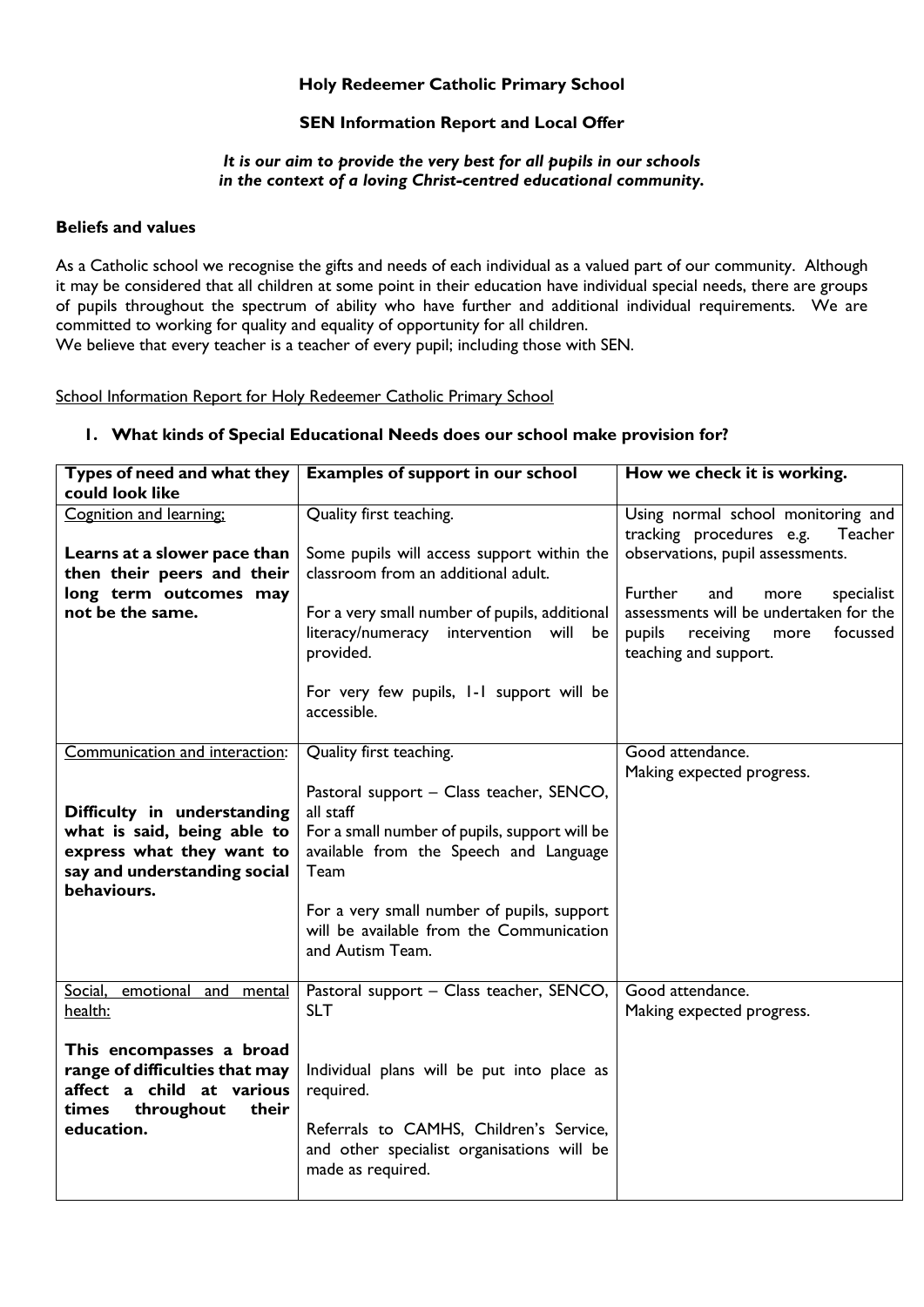## **Holy Redeemer Catholic Primary School**

## **SEN Information Report and Local Offer**

### *It is our aim to provide the very best for all pupils in our schools in the context of a loving Christ-centred educational community.*

### **Beliefs and values**

As a Catholic school we recognise the gifts and needs of each individual as a valued part of our community. Although it may be considered that all children at some point in their education have individual special needs, there are groups of pupils throughout the spectrum of ability who have further and additional individual requirements. We are committed to working for quality and equality of opportunity for all children.

We believe that every teacher is a teacher of every pupil; including those with SEN.

### School Information Report for Holy Redeemer Catholic Primary School

| Types of need and what they                | <b>Examples of support in our school</b>      | How we check it is working.                                               |
|--------------------------------------------|-----------------------------------------------|---------------------------------------------------------------------------|
| could look like                            |                                               |                                                                           |
| Cognition and learning;                    | Quality first teaching.                       | Using normal school monitoring and<br>tracking procedures e.g.<br>Teacher |
| Learns at a slower pace than               | Some pupils will access support within the    | observations, pupil assessments.                                          |
| then their peers and their                 | classroom from an additional adult.           |                                                                           |
|                                            |                                               | Further                                                                   |
| long term outcomes may<br>not be the same. |                                               | and<br>specialist<br>more                                                 |
|                                            | For a very small number of pupils, additional | assessments will be undertaken for the                                    |
|                                            | literacy/numeracy intervention will be        | pupils<br>receiving<br>focussed<br>more                                   |
|                                            | provided.                                     | teaching and support.                                                     |
|                                            | For very few pupils, I-I support will be      |                                                                           |
|                                            | accessible.                                   |                                                                           |
|                                            |                                               |                                                                           |
| Communication and interaction:             | Quality first teaching.                       | Good attendance.                                                          |
|                                            |                                               | Making expected progress.                                                 |
|                                            | Pastoral support - Class teacher, SENCO,      |                                                                           |
| Difficulty in understanding                | all staff                                     |                                                                           |
| what is said, being able to                | For a small number of pupils, support will be |                                                                           |
| express what they want to                  | available from the Speech and Language        |                                                                           |
| say and understanding social               | Team                                          |                                                                           |
| behaviours.                                |                                               |                                                                           |
|                                            | For a very small number of pupils, support    |                                                                           |
|                                            | will be available from the Communication      |                                                                           |
|                                            | and Autism Team.                              |                                                                           |
|                                            |                                               |                                                                           |
| Social,<br>emotional and mental            | Pastoral support - Class teacher, SENCO,      | Good attendance.                                                          |
| health:                                    | <b>SLT</b>                                    | Making expected progress.                                                 |
|                                            |                                               |                                                                           |
| This encompasses a broad                   |                                               |                                                                           |
| range of difficulties that may             | Individual plans will be put into place as    |                                                                           |
| affect a child at various                  | required.                                     |                                                                           |
| throughout<br>times<br>their               |                                               |                                                                           |
| education.                                 | Referrals to CAMHS, Children's Service,       |                                                                           |
|                                            | and other specialist organisations will be    |                                                                           |
|                                            | made as required.                             |                                                                           |
|                                            |                                               |                                                                           |

## **1. What kinds of Special Educational Needs does our school make provision for?**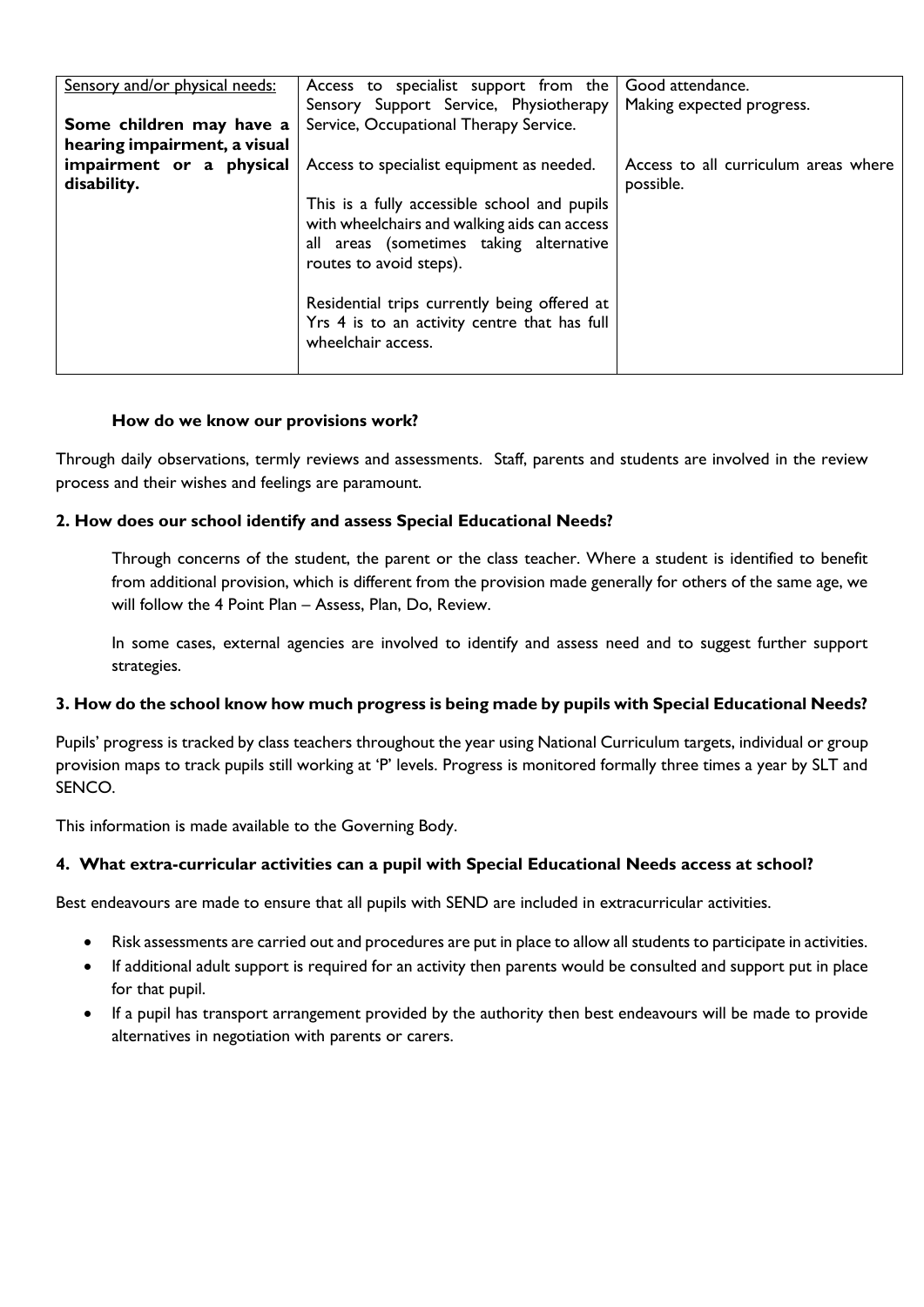| Sensory and/or physical needs: | Access to specialist support from the                                                                                                                                                                              | Good attendance.                     |
|--------------------------------|--------------------------------------------------------------------------------------------------------------------------------------------------------------------------------------------------------------------|--------------------------------------|
|                                | Sensory Support Service, Physiotherapy                                                                                                                                                                             | Making expected progress.            |
| Some children may have a       | Service, Occupational Therapy Service.                                                                                                                                                                             |                                      |
| hearing impairment, a visual   |                                                                                                                                                                                                                    |                                      |
| impairment or a physical       | Access to specialist equipment as needed.                                                                                                                                                                          | Access to all curriculum areas where |
| disability.                    |                                                                                                                                                                                                                    | possible.                            |
|                                | This is a fully accessible school and pupils<br>with wheelchairs and walking aids can access<br>all areas (sometimes taking alternative<br>routes to avoid steps).<br>Residential trips currently being offered at |                                      |
|                                | Yrs 4 is to an activity centre that has full<br>wheelchair access.                                                                                                                                                 |                                      |

## **How do we know our provisions work?**

Through daily observations, termly reviews and assessments. Staff, parents and students are involved in the review process and their wishes and feelings are paramount.

## **2. How does our school identify and assess Special Educational Needs?**

Through concerns of the student, the parent or the class teacher. Where a student is identified to benefit from additional provision, which is different from the provision made generally for others of the same age, we will follow the 4 Point Plan – Assess, Plan, Do, Review.

In some cases, external agencies are involved to identify and assess need and to suggest further support strategies.

## **3. How do the school know how much progress is being made by pupils with Special Educational Needs?**

Pupils' progress is tracked by class teachers throughout the year using National Curriculum targets, individual or group provision maps to track pupils still working at 'P' levels. Progress is monitored formally three times a year by SLT and SENCO.

This information is made available to the Governing Body.

## **4. What extra-curricular activities can a pupil with Special Educational Needs access at school?**

Best endeavours are made to ensure that all pupils with SEND are included in extracurricular activities.

- Risk assessments are carried out and procedures are put in place to allow all students to participate in activities.
- If additional adult support is required for an activity then parents would be consulted and support put in place for that pupil.
- If a pupil has transport arrangement provided by the authority then best endeavours will be made to provide alternatives in negotiation with parents or carers.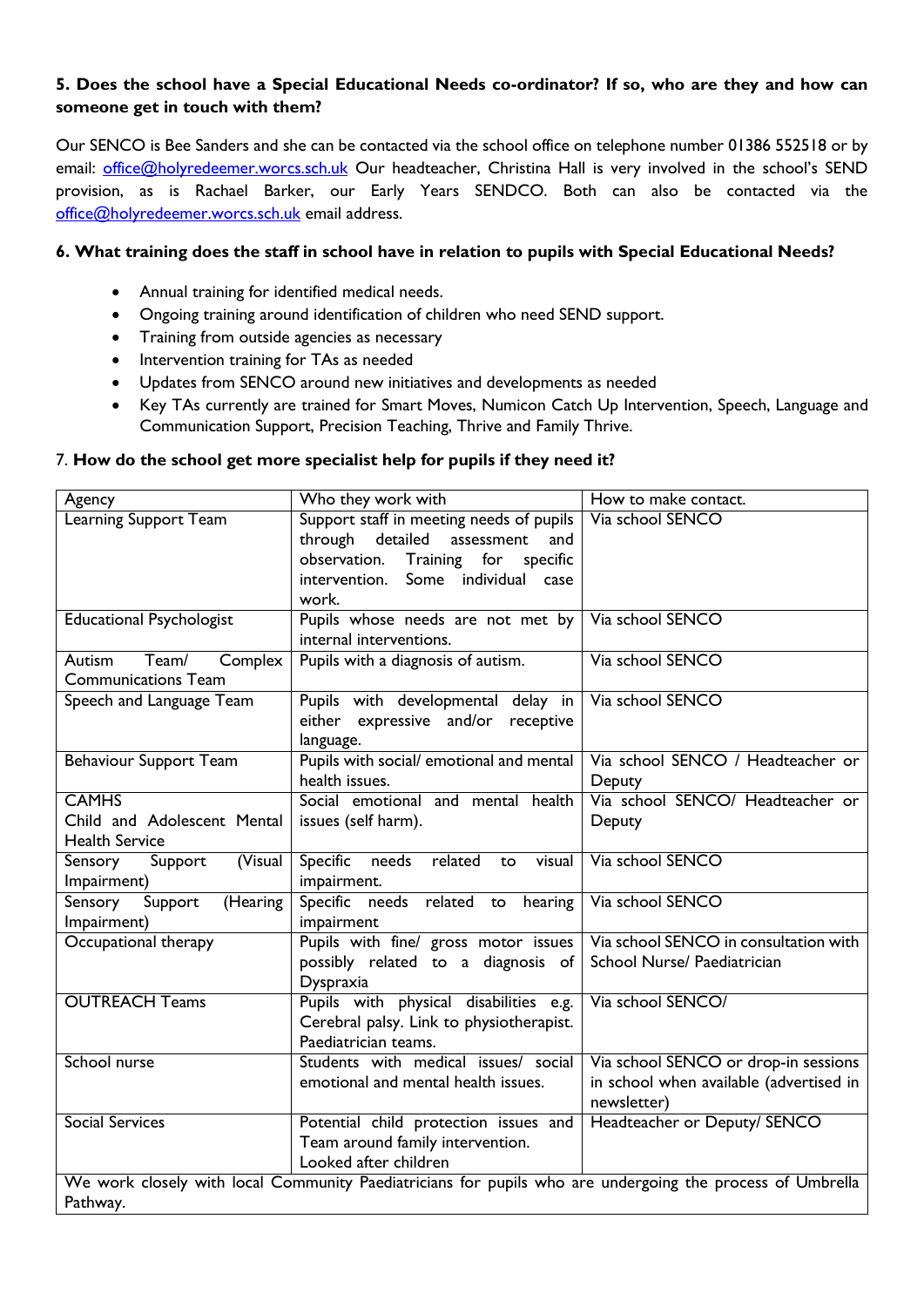## **5. Does the school have a Special Educational Needs co-ordinator? If so, who are they and how can someone get in touch with them?**

Our SENCO is Bee Sanders and she can be contacted via the school office on telephone number 01386 552518 or by email: [office@holyredeemer.worcs.sch.uk](mailto:office@holyredeemer.worcs.sch.uk) Our headteacher, Christina Hall is very involved in the school's SEND provision, as is Rachael Barker, our Early Years SENDCO. Both can also be contacted via the [office@holyredeemer.worcs.sch.uk](mailto:office@holyredeemer.worcs.sch.uk) email address.

## **6. What training does the staff in school have in relation to pupils with Special Educational Needs?**

- Annual training for identified medical needs.
- Ongoing training around identification of children who need SEND support.
- Training from outside agencies as necessary
- Intervention training for TAs as needed
- Updates from SENCO around new initiatives and developments as needed
- Key TAs currently are trained for Smart Moves, Numicon Catch Up Intervention, Speech, Language and Communication Support, Precision Teaching, Thrive and Family Thrive.

## 7. **How do the school get more specialist help for pupils if they need it?**

| Agency                                                                                                                | Who they work with                                                                                                                                                              | How to make contact.                                                                           |  |
|-----------------------------------------------------------------------------------------------------------------------|---------------------------------------------------------------------------------------------------------------------------------------------------------------------------------|------------------------------------------------------------------------------------------------|--|
| Learning Support Team                                                                                                 | Support staff in meeting needs of pupils<br>through<br>detailed<br>assessment<br>and<br>observation.<br>Training for<br>specific<br>intervention. Some individual case<br>work. | Via school SENCO                                                                               |  |
| <b>Educational Psychologist</b>                                                                                       | Pupils whose needs are not met by<br>internal interventions.                                                                                                                    | Via school SENCO                                                                               |  |
| Team/<br>Complex<br>Autism<br><b>Communications Team</b>                                                              | Pupils with a diagnosis of autism.                                                                                                                                              | Via school SENCO                                                                               |  |
| Speech and Language Team                                                                                              | Pupils with developmental delay in<br>either expressive and/or receptive<br>language.                                                                                           | Via school SENCO                                                                               |  |
| <b>Behaviour Support Team</b>                                                                                         | Pupils with social/ emotional and mental<br>health issues.                                                                                                                      | Via school SENCO / Headteacher or<br>Deputy                                                    |  |
| <b>CAMHS</b><br>Child and Adolescent Mental<br><b>Health Service</b>                                                  | Social emotional and mental health<br>issues (self harm).                                                                                                                       | Via school SENCO/ Headteacher or<br>Deputy                                                     |  |
| (Visual<br>Support<br>Sensory<br>Impairment)                                                                          | Specific<br>needs<br>related<br>visual<br>to<br>impairment.                                                                                                                     | Via school SENCO                                                                               |  |
| (Hearing<br>Sensory<br>Support<br>Impairment)                                                                         | Specific needs related to hearing<br>impairment                                                                                                                                 | Via school SENCO                                                                               |  |
| Occupational therapy                                                                                                  | Pupils with fine/ gross motor issues<br>possibly related to a diagnosis of<br>Dyspraxia                                                                                         | Via school SENCO in consultation with<br>School Nurse/ Paediatrician                           |  |
| <b>OUTREACH Teams</b>                                                                                                 | Pupils with physical disabilities e.g.<br>Cerebral palsy. Link to physiotherapist.<br>Paediatrician teams.                                                                      | Via school SENCO/                                                                              |  |
| School nurse                                                                                                          | Students with medical issues/ social<br>emotional and mental health issues.                                                                                                     | Via school SENCO or drop-in sessions<br>in school when available (advertised in<br>newsletter) |  |
| <b>Social Services</b>                                                                                                | Potential child protection issues and<br>Team around family intervention.<br>Looked after children                                                                              | Headteacher or Deputy/ SENCO                                                                   |  |
| We work closely with local Community Paediatricians for pupils who are undergoing the process of Umbrella<br>Pathway. |                                                                                                                                                                                 |                                                                                                |  |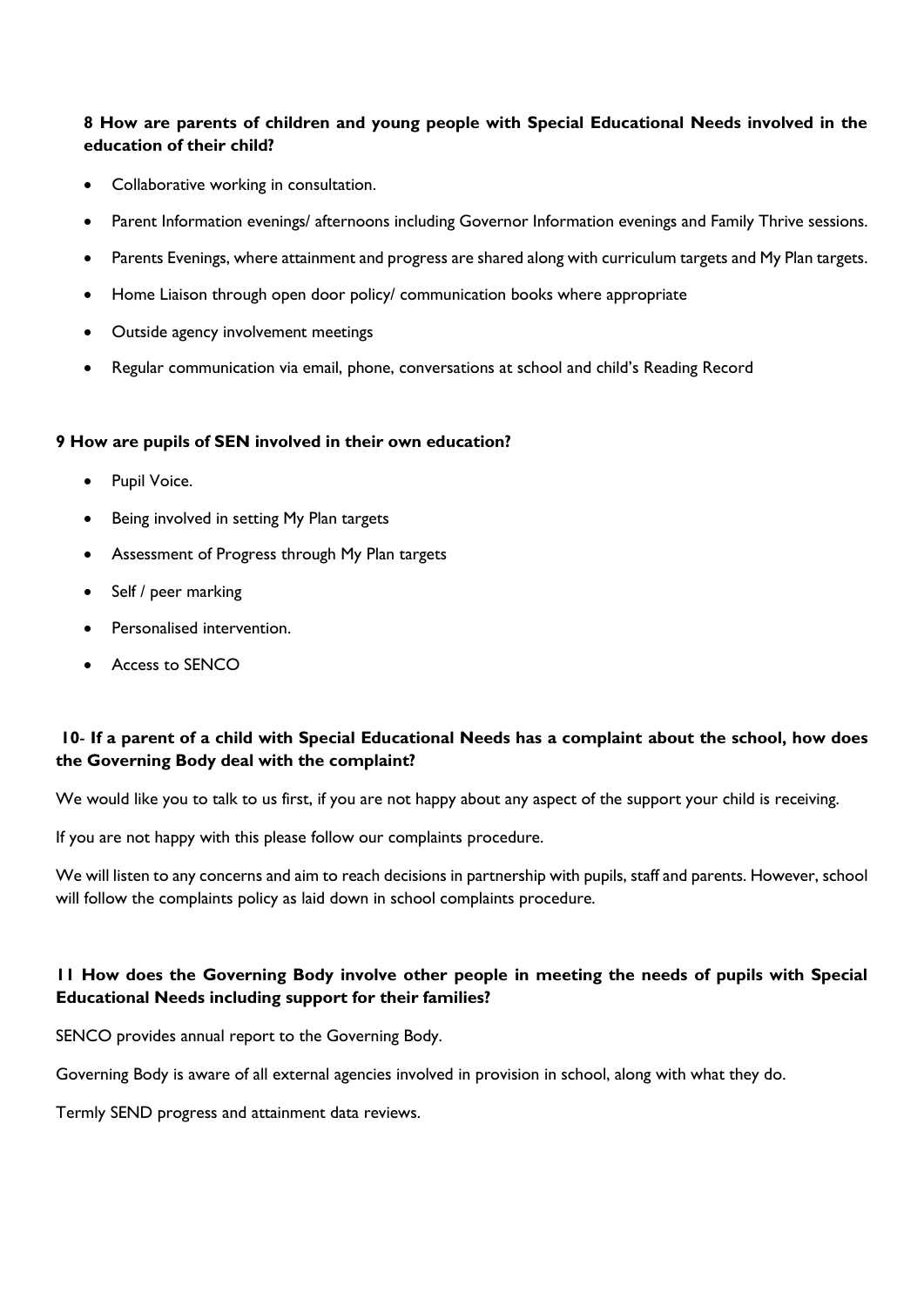## **8 How are parents of children and young people with Special Educational Needs involved in the education of their child?**

- Collaborative working in consultation.
- Parent Information evenings/ afternoons including Governor Information evenings and Family Thrive sessions.
- Parents Evenings, where attainment and progress are shared along with curriculum targets and My Plan targets.
- Home Liaison through open door policy/ communication books where appropriate
- Outside agency involvement meetings
- Regular communication via email, phone, conversations at school and child's Reading Record

### **9 How are pupils of SEN involved in their own education?**

- Pupil Voice.
- Being involved in setting My Plan targets
- Assessment of Progress through My Plan targets
- Self / peer marking
- Personalised intervention.
- Access to SENCO

## **10**- **If a parent of a child with Special Educational Needs has a complaint about the school, how does the Governing Body deal with the complaint?**

We would like you to talk to us first, if you are not happy about any aspect of the support your child is receiving.

If you are not happy with this please follow our complaints procedure.

We will listen to any concerns and aim to reach decisions in partnership with pupils, staff and parents. However, school will follow the complaints policy as laid down in school complaints procedure.

## **11 How does the Governing Body involve other people in meeting the needs of pupils with Special Educational Needs including support for their families?**

SENCO provides annual report to the Governing Body.

Governing Body is aware of all external agencies involved in provision in school, along with what they do.

Termly SEND progress and attainment data reviews.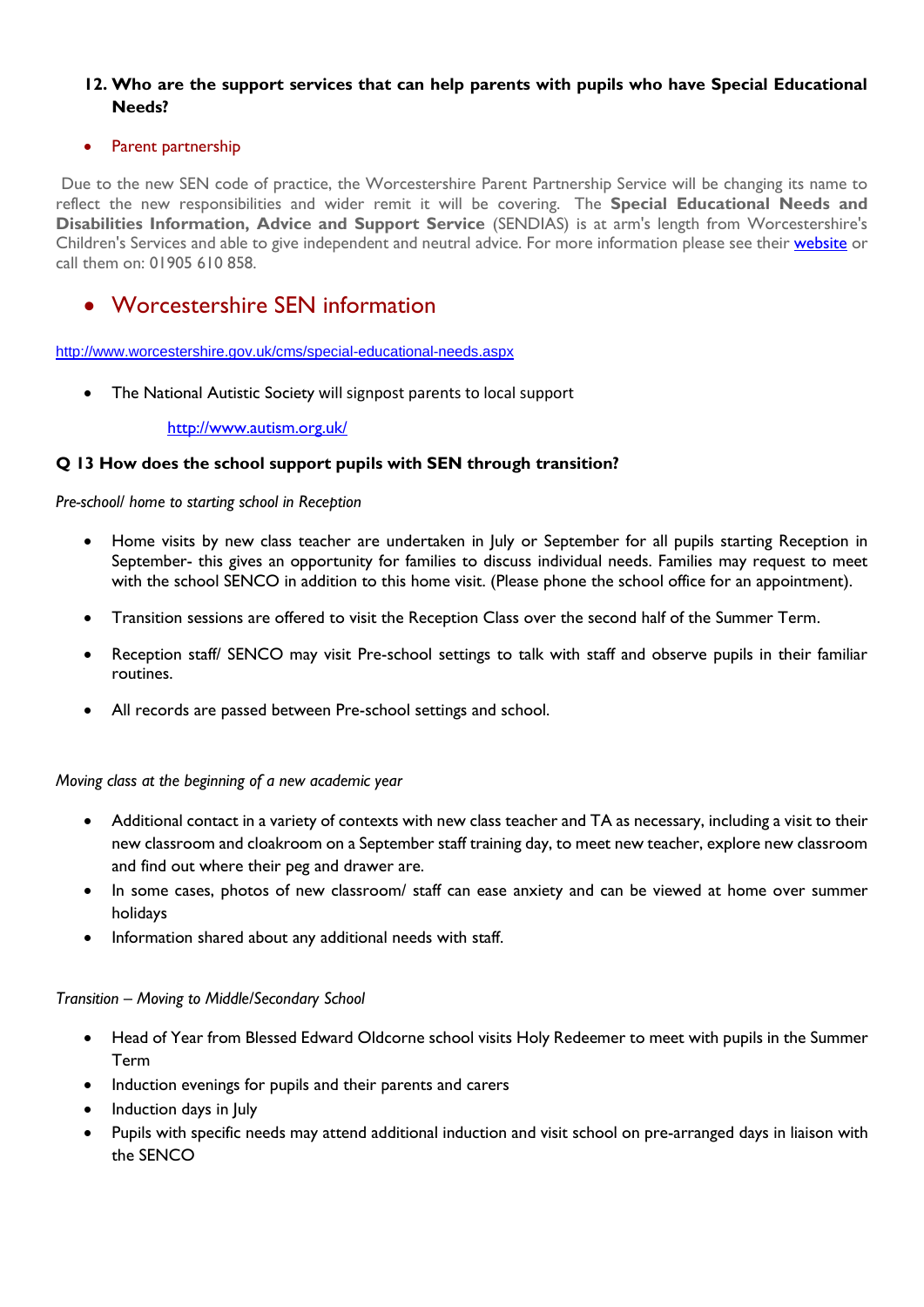## **12. Who are the support services that can help parents with pupils who have Special Educational Needs?**

## Parent partnership

Due to the new SEN code of practice, the Worcestershire Parent Partnership Service will be changing its name to reflect the new responsibilities and wider remit it will be covering. The **Special Educational Needs and Disabilities Information, Advice and Support Service** (SENDIAS) is at arm's length from Worcestershire's Children's Services and able to give independent and neutral advice. For more information please see their [website](http://www.ppsworcs.co.uk/) or call them on: 01905 610 858.

# Worcestershire SEN information

<http://www.worcestershire.gov.uk/cms/special-educational-needs.aspx>

• The National Autistic Society will signpost parents to local support

#### <http://www.autism.org.uk/>

### **Q 13 How does the school support pupils with SEN through transition?**

#### *Pre-school/ home to starting school in Reception*

- Home visits by new class teacher are undertaken in July or September for all pupils starting Reception in September- this gives an opportunity for families to discuss individual needs. Families may request to meet with the school SENCO in addition to this home visit. (Please phone the school office for an appointment).
- Transition sessions are offered to visit the Reception Class over the second half of the Summer Term.
- Reception staff/ SENCO may visit Pre-school settings to talk with staff and observe pupils in their familiar routines.
- All records are passed between Pre-school settings and school.

### *Moving class at the beginning of a new academic year*

- Additional contact in a variety of contexts with new class teacher and TA as necessary, including a visit to their new classroom and cloakroom on a September staff training day, to meet new teacher, explore new classroom and find out where their peg and drawer are.
- In some cases, photos of new classroom/ staff can ease anxiety and can be viewed at home over summer holidays
- Information shared about any additional needs with staff.

### *Transition – Moving to Middle/Secondary School*

- Head of Year from Blessed Edward Oldcorne school visits Holy Redeemer to meet with pupils in the Summer Term
- Induction evenings for pupils and their parents and carers
- Induction days in July
- Pupils with specific needs may attend additional induction and visit school on pre-arranged days in liaison with the SENCO